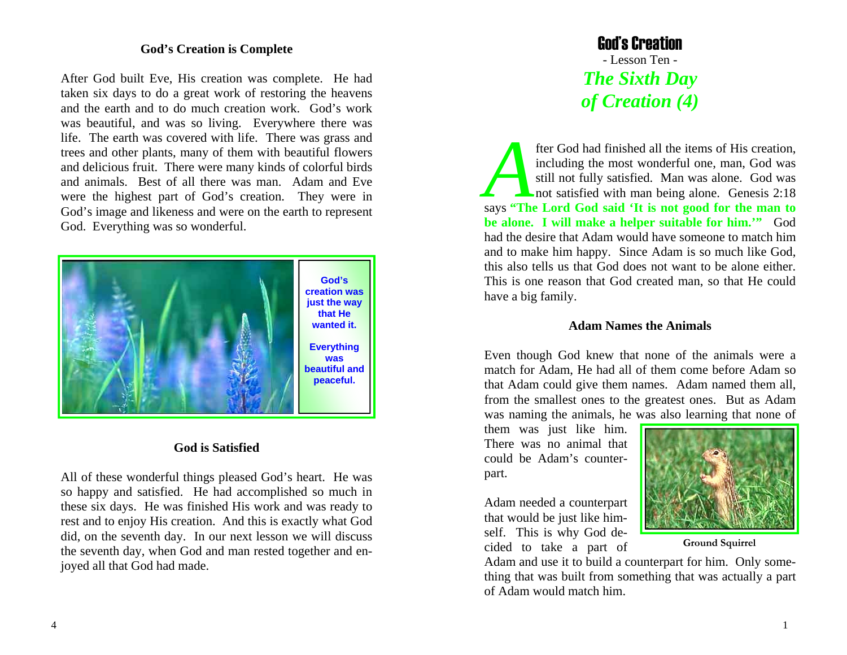### **God's Creation is Complete**

After God built Eve, His creation was complete. He had taken six days to do a great work of restoring the heavens and the earth and to do much creation work. God's work was beautiful, and was so living. Everywhere there was life. The earth was covered with life. There was grass and trees and other plants, many of them with beautiful flowers and delicious fruit. There were many kinds of colorful birds and animals. Best of all there was man. Adam and Eve were the highest part of God's creation. They were in God's image and likeness and were on the earth to represent God. Everything was so wonderful.



### **God is Satisfied**

All of these wonderful things pleased God's heart. He was so happy and satisfied. He had accomplished so much in these six days. He was finished His work and was ready to rest and to enjoy His creation. And this is exactly what God did, on the seventh day. In our next lesson we will discuss the seventh day, when God and man rested together and enjoyed all that God had made.

## God's Creation - Lesson Ten - *The Sixth Day of Creation (4)*

fter God had finished all the items of His creation, including the most wonderful one, man, God was still not fully satisfied. Man was alone. God was not satisfied with man being alone. Genesis 2:18 says **"The Lord God said 'It is not good for the man to be alone. I will make a helper suitable for him.'"** God had the desire that Adam would have someone to match him and to make him happy. Since Adam is so much like God, this also tells us that God does not want to be alone either. This is one reason that God created man, so that He could have a big family.

#### **Adam Names the Animals**

Even though God knew that none of the animals were a match for Adam, He had all of them come before Adam so that Adam could give them names. Adam named them all, from the smallest ones to the greatest ones. But as Adam was naming the animals, he was also learning that none of

them was just like him. There was no animal that could be Adam's counterpart.

Adam needed a counterpart that would be just like himself. This is why God decided to take a part of



**Ground Squirrel** 

Adam and use it to build a counterpart for him. Only something that was built from something that was actually a part of Adam would match him.